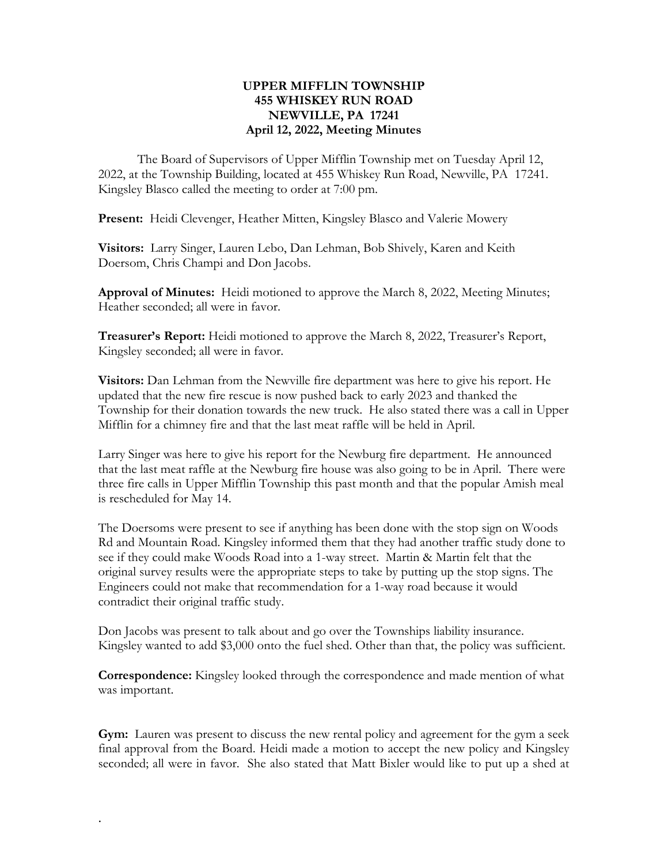## **UPPER MIFFLIN TOWNSHIP 455 WHISKEY RUN ROAD NEWVILLE, PA 17241 April 12, 2022, Meeting Minutes**

The Board of Supervisors of Upper Mifflin Township met on Tuesday April 12, 2022, at the Township Building, located at 455 Whiskey Run Road, Newville, PA 17241. Kingsley Blasco called the meeting to order at 7:00 pm.

**Present:** Heidi Clevenger, Heather Mitten, Kingsley Blasco and Valerie Mowery

**Visitors:** Larry Singer, Lauren Lebo, Dan Lehman, Bob Shively, Karen and Keith Doersom, Chris Champi and Don Jacobs.

**Approval of Minutes:** Heidi motioned to approve the March 8, 2022, Meeting Minutes; Heather seconded; all were in favor.

**Treasurer's Report:** Heidi motioned to approve the March 8, 2022, Treasurer's Report, Kingsley seconded; all were in favor.

**Visitors:** Dan Lehman from the Newville fire department was here to give his report. He updated that the new fire rescue is now pushed back to early 2023 and thanked the Township for their donation towards the new truck. He also stated there was a call in Upper Mifflin for a chimney fire and that the last meat raffle will be held in April.

Larry Singer was here to give his report for the Newburg fire department. He announced that the last meat raffle at the Newburg fire house was also going to be in April. There were three fire calls in Upper Mifflin Township this past month and that the popular Amish meal is rescheduled for May 14.

The Doersoms were present to see if anything has been done with the stop sign on Woods Rd and Mountain Road. Kingsley informed them that they had another traffic study done to see if they could make Woods Road into a 1-way street. Martin & Martin felt that the original survey results were the appropriate steps to take by putting up the stop signs. The Engineers could not make that recommendation for a 1-way road because it would contradict their original traffic study.

Don Jacobs was present to talk about and go over the Townships liability insurance. Kingsley wanted to add \$3,000 onto the fuel shed. Other than that, the policy was sufficient.

**Correspondence:** Kingsley looked through the correspondence and made mention of what was important.

**Gym:** Lauren was present to discuss the new rental policy and agreement for the gym a seek final approval from the Board. Heidi made a motion to accept the new policy and Kingsley seconded; all were in favor. She also stated that Matt Bixler would like to put up a shed at

.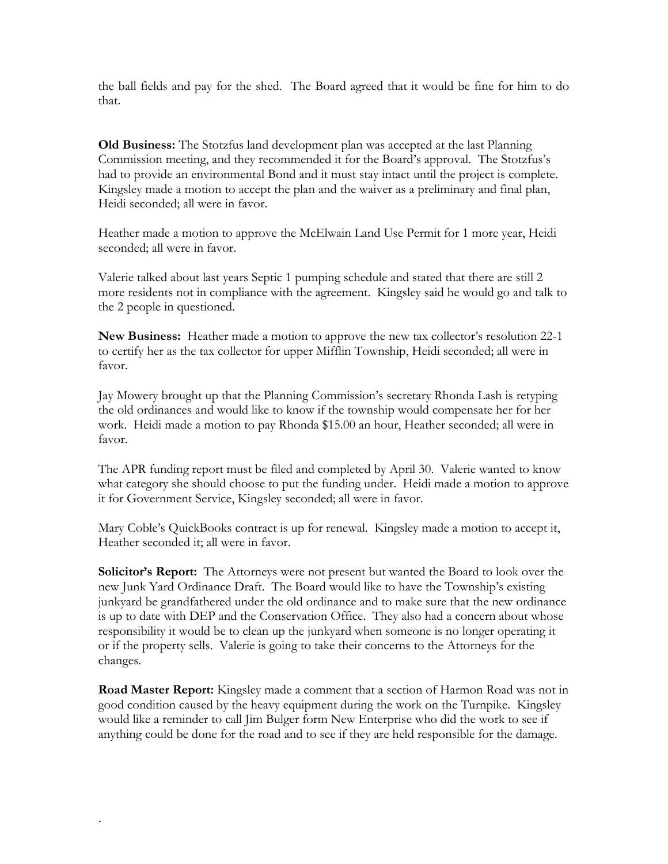the ball fields and pay for the shed. The Board agreed that it would be fine for him to do that.

**Old Business:** The Stotzfus land development plan was accepted at the last Planning Commission meeting, and they recommended it for the Board's approval. The Stotzfus's had to provide an environmental Bond and it must stay intact until the project is complete. Kingsley made a motion to accept the plan and the waiver as a preliminary and final plan, Heidi seconded; all were in favor.

Heather made a motion to approve the McElwain Land Use Permit for 1 more year, Heidi seconded; all were in favor.

Valerie talked about last years Septic 1 pumping schedule and stated that there are still 2 more residents not in compliance with the agreement. Kingsley said he would go and talk to the 2 people in questioned.

**New Business:** Heather made a motion to approve the new tax collector's resolution 22-1 to certify her as the tax collector for upper Mifflin Township, Heidi seconded; all were in favor.

Jay Mowery brought up that the Planning Commission's secretary Rhonda Lash is retyping the old ordinances and would like to know if the township would compensate her for her work. Heidi made a motion to pay Rhonda \$15.00 an hour, Heather seconded; all were in favor.

The APR funding report must be filed and completed by April 30. Valerie wanted to know what category she should choose to put the funding under. Heidi made a motion to approve it for Government Service, Kingsley seconded; all were in favor.

Mary Coble's QuickBooks contract is up for renewal. Kingsley made a motion to accept it, Heather seconded it; all were in favor.

**Solicitor's Report:** The Attorneys were not present but wanted the Board to look over the new Junk Yard Ordinance Draft. The Board would like to have the Township's existing junkyard be grandfathered under the old ordinance and to make sure that the new ordinance is up to date with DEP and the Conservation Office. They also had a concern about whose responsibility it would be to clean up the junkyard when someone is no longer operating it or if the property sells. Valerie is going to take their concerns to the Attorneys for the changes.

**Road Master Report:** Kingsley made a comment that a section of Harmon Road was not in good condition caused by the heavy equipment during the work on the Turnpike. Kingsley would like a reminder to call Jim Bulger form New Enterprise who did the work to see if anything could be done for the road and to see if they are held responsible for the damage.

.